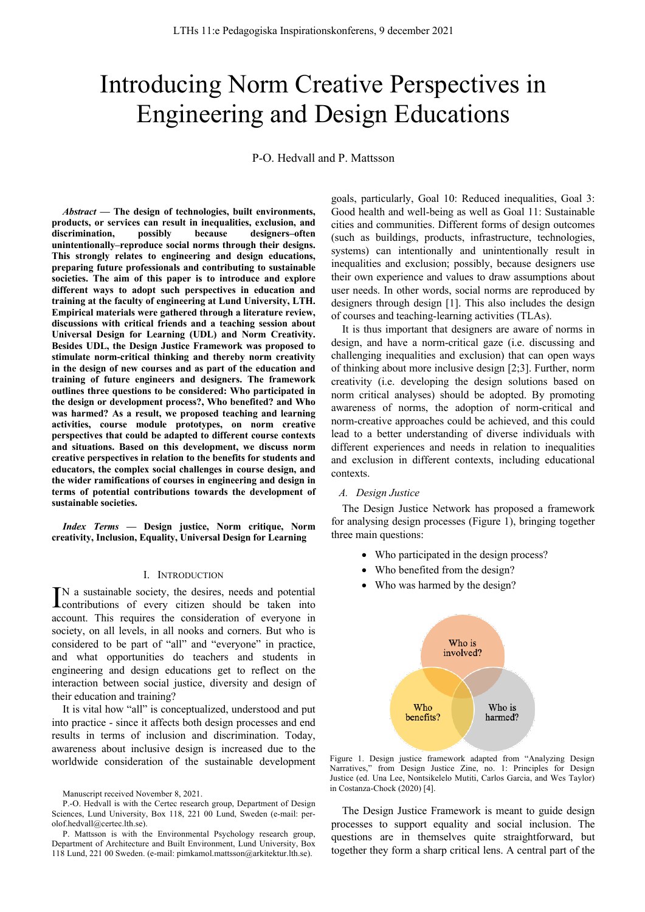# Introducing Norm Creative Perspectives in Engineering and Design Educations

P-O. Hedvall and P. Mattsson

*Abstract* **— The design of technologies, built environments, products, or services can result in inequalities, exclusion, and discrimination, possibly because designers–often unintentionally–reproduce social norms through their designs. This strongly relates to engineering and design educations, preparing future professionals and contributing to sustainable societies. The aim of this paper is to introduce and explore different ways to adopt such perspectives in education and training at the faculty of engineering at Lund University, LTH. Empirical materials were gathered through a literature review, discussions with critical friends and a teaching session about Universal Design for Learning (UDL) and Norm Creativity. Besides UDL, the Design Justice Framework was proposed to stimulate norm-critical thinking and thereby norm creativity in the design of new courses and as part of the education and training of future engineers and designers. The framework outlines three questions to be considered: Who participated in the design or development process?, Who benefited? and Who was harmed? As a result, we proposed teaching and learning activities, course module prototypes, on norm creative perspectives that could be adapted to different course contexts and situations. Based on this development, we discuss norm creative perspectives in relation to the benefits for students and educators, the complex social challenges in course design, and the wider ramifications of courses in engineering and design in terms of potential contributions towards the development of sustainable societies.**

*Index Terms* **— Design justice, Norm critique, Norm creativity, Inclusion, Equality, Universal Design for Learning** 

# I. INTRODUCTION

N a sustainable society, the desires, needs and potential IN a sustainable society, the desires, needs and potential contributions of every citizen should be taken into account. This requires the consideration of everyone in society, on all levels, in all nooks and corners. But who is considered to be part of "all" and "everyone" in practice, and what opportunities do teachers and students in engineering and design educations get to reflect on the interaction between social justice, diversity and design of their education and training?

It is vital how "all" is conceptualized, understood and put into practice - since it affects both design processes and end results in terms of inclusion and discrimination. Today, awareness about inclusive design is increased due to the worldwide consideration of the sustainable development goals, particularly, Goal 10: Reduced inequalities, Goal 3: Good health and well-being as well as Goal 11: Sustainable cities and communities. Different forms of design outcomes (such as buildings, products, infrastructure, technologies, systems) can intentionally and unintentionally result in inequalities and exclusion; possibly, because designers use their own experience and values to draw assumptions about user needs. In other words, social norms are reproduced by designers through design [1]. This also includes the design of courses and teaching-learning activities (TLAs).

It is thus important that designers are aware of norms in design, and have a norm-critical gaze (i.e. discussing and challenging inequalities and exclusion) that can open ways of thinking about more inclusive design [2;3]. Further, norm creativity (i.e. developing the design solutions based on norm critical analyses) should be adopted. By promoting awareness of norms, the adoption of norm-critical and norm-creative approaches could be achieved, and this could lead to a better understanding of diverse individuals with different experiences and needs in relation to inequalities and exclusion in different contexts, including educational contexts.

### *A. Design Justice*

The Design Justice Network has proposed a framework for analysing design processes (Figure 1), bringing together three main questions:

- Who participated in the design process?
- Who benefited from the design?
- Who was harmed by the design?



Figure 1. Design justice framework adapted from "Analyzing Design Narratives," from Design Justice Zine, no. 1: Principles for Design Justice (ed. Una Lee, Nontsikelelo Mutiti, Carlos Garcia, and Wes Taylor) in Costanza-Chock (2020) [4].

The Design Justice Framework is meant to guide design processes to support equality and social inclusion. The questions are in themselves quite straightforward, but together they form a sharp critical lens. A central part of the

Manuscript received November 8, 2021.

P.-O. Hedvall is with the Certec research group, Department of Design Sciences, Lund University, Box 118, 221 00 Lund, Sweden (e-mail: perolof.hedvall@certec.lth.se).

P. Mattsson is with the Environmental Psychology research group, Department of Architecture and Built Environment, Lund University, Box 118 Lund, 221 00 Sweden. (e-mail: pimkamol.mattsson@arkitektur.lth.se).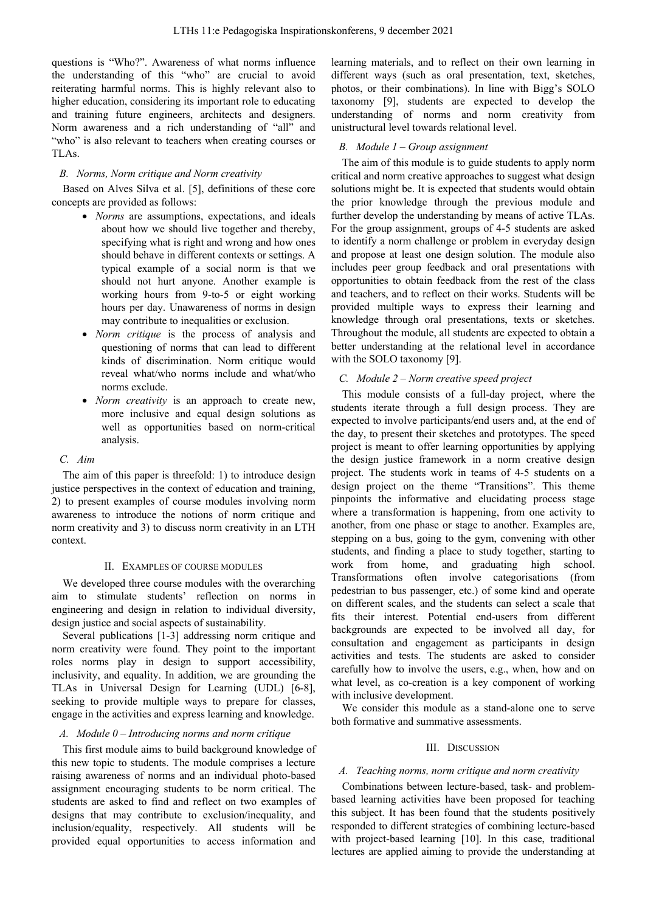questions is "Who?". Awareness of what norms influence the understanding of this "who" are crucial to avoid reiterating harmful norms. This is highly relevant also to higher education, considering its important role to educating and training future engineers, architects and designers. Norm awareness and a rich understanding of "all" and "who" is also relevant to teachers when creating courses or TLAs.

# *B. Norms, Norm critique and Norm creativity*

Based on Alves Silva et al. [5], definitions of these core concepts are provided as follows:

- *Norms* are assumptions, expectations, and ideals about how we should live together and thereby, specifying what is right and wrong and how ones should behave in different contexts or settings. A typical example of a social norm is that we should not hurt anyone. Another example is working hours from 9-to-5 or eight working hours per day. Unawareness of norms in design may contribute to inequalities or exclusion.
- *Norm critique* is the process of analysis and questioning of norms that can lead to different kinds of discrimination. Norm critique would reveal what/who norms include and what/who norms exclude.
- *Norm creativity* is an approach to create new, more inclusive and equal design solutions as well as opportunities based on norm-critical analysis.

# *C. Aim*

The aim of this paper is threefold: 1) to introduce design justice perspectives in the context of education and training, 2) to present examples of course modules involving norm awareness to introduce the notions of norm critique and norm creativity and 3) to discuss norm creativity in an LTH context.

# II. EXAMPLES OF COURSE MODULES

We developed three course modules with the overarching aim to stimulate students' reflection on norms in engineering and design in relation to individual diversity, design justice and social aspects of sustainability.

Several publications [1-3] addressing norm critique and norm creativity were found. They point to the important roles norms play in design to support accessibility, inclusivity, and equality. In addition, we are grounding the TLAs in Universal Design for Learning (UDL) [6-8], seeking to provide multiple ways to prepare for classes, engage in the activities and express learning and knowledge.

# *A. Module 0 – Introducing norms and norm critique*

This first module aims to build background knowledge of this new topic to students. The module comprises a lecture raising awareness of norms and an individual photo-based assignment encouraging students to be norm critical. The students are asked to find and reflect on two examples of designs that may contribute to exclusion/inequality, and inclusion/equality, respectively. All students will be provided equal opportunities to access information and

learning materials, and to reflect on their own learning in different ways (such as oral presentation, text, sketches, photos, or their combinations). In line with Bigg's SOLO taxonomy [9], students are expected to develop the understanding of norms and norm creativity from unistructural level towards relational level.

# *B. Module 1 – Group assignment*

The aim of this module is to guide students to apply norm critical and norm creative approaches to suggest what design solutions might be. It is expected that students would obtain the prior knowledge through the previous module and further develop the understanding by means of active TLAs. For the group assignment, groups of 4-5 students are asked to identify a norm challenge or problem in everyday design and propose at least one design solution. The module also includes peer group feedback and oral presentations with opportunities to obtain feedback from the rest of the class and teachers, and to reflect on their works. Students will be provided multiple ways to express their learning and knowledge through oral presentations, texts or sketches. Throughout the module, all students are expected to obtain a better understanding at the relational level in accordance with the SOLO taxonomy [9].

# *C. Module 2 – Norm creative speed project*

This module consists of a full-day project, where the students iterate through a full design process. They are expected to involve participants/end users and, at the end of the day, to present their sketches and prototypes. The speed project is meant to offer learning opportunities by applying the design justice framework in a norm creative design project. The students work in teams of 4-5 students on a design project on the theme "Transitions". This theme pinpoints the informative and elucidating process stage where a transformation is happening, from one activity to another, from one phase or stage to another. Examples are, stepping on a bus, going to the gym, convening with other students, and finding a place to study together, starting to work from home, and graduating high school. Transformations often involve categorisations (from pedestrian to bus passenger, etc.) of some kind and operate on different scales, and the students can select a scale that fits their interest. Potential end-users from different backgrounds are expected to be involved all day, for consultation and engagement as participants in design activities and tests. The students are asked to consider carefully how to involve the users, e.g., when, how and on what level, as co-creation is a key component of working with inclusive development.

We consider this module as a stand-alone one to serve both formative and summative assessments.

# III. DISCUSSION

# *A. Teaching norms, norm critique and norm creativity*

Combinations between lecture-based, task- and problembased learning activities have been proposed for teaching this subject. It has been found that the students positively responded to different strategies of combining lecture-based with project-based learning [10]. In this case, traditional lectures are applied aiming to provide the understanding at